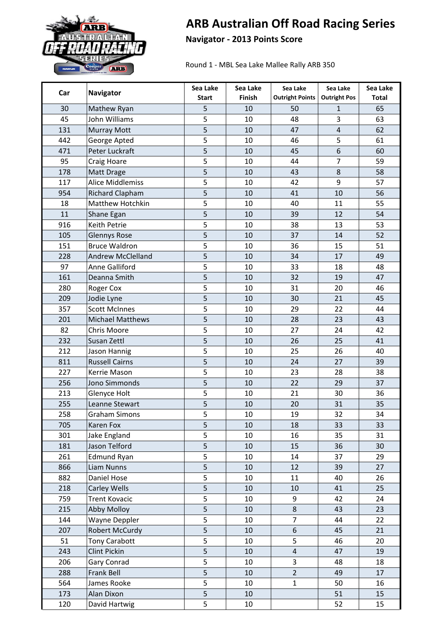

## **ARB Australian Off Road Racing Series**

**Navigator - 2013 Points Score**

Round 1 - MBL Sea Lake Mallee Rally ARB 350

| Car | <b>Navigator</b>         | Sea Lake       | Sea Lake | Sea Lake               | Sea Lake            | Sea Lake     |
|-----|--------------------------|----------------|----------|------------------------|---------------------|--------------|
|     |                          | <b>Start</b>   | Finish   | <b>Outright Points</b> | <b>Outright Pos</b> | <b>Total</b> |
| 30  | Mathew Ryan              | 5              | 10       | 50                     | $\mathbf{1}$        | 65           |
| 45  | John Williams            | 5              | 10       | 48                     | 3                   | 63           |
| 131 | <b>Murray Mott</b>       | 5              | 10       | 47                     | $\overline{4}$      | 62           |
| 442 | George Apted             | 5              | 10       | 46                     | 5                   | 61           |
| 471 | Peter Luckraft           | 5              | 10       | 45                     | 6                   | 60           |
| 95  | <b>Craig Hoare</b>       | 5              | 10       | 44                     | $\overline{7}$      | 59           |
| 178 | Matt Drage               | 5              | 10       | 43                     | 8                   | 58           |
| 117 | <b>Alice Middlemiss</b>  | 5              | 10       | 42                     | 9                   | 57           |
| 954 | <b>Richard Clapham</b>   | 5              | 10       | 41                     | 10                  | 56           |
| 18  | Matthew Hotchkin         | 5              | 10       | 40                     | 11                  | 55           |
| 11  | Shane Egan               | 5              | 10       | 39                     | 12                  | 54           |
| 916 | Keith Petrie             | 5              | 10       | 38                     | 13                  | 53           |
| 105 | <b>Glennys Rose</b>      | 5              | 10       | 37                     | 14                  | 52           |
| 151 | <b>Bruce Waldron</b>     | 5              | 10       | 36                     | 15                  | 51           |
| 228 | <b>Andrew McClelland</b> | 5              | 10       | 34                     | 17                  | 49           |
| 97  | Anne Galliford           | 5              | 10       | 33                     | 18                  | 48           |
| 161 | Deanna Smith             | 5              | 10       | 32                     | 19                  | 47           |
| 280 | <b>Roger Cox</b>         | 5              | 10       | 31                     | 20                  | 46           |
| 209 | Jodie Lyne               | 5              | 10       | 30                     | 21                  | 45           |
| 357 | <b>Scott McInnes</b>     | 5              | 10       | 29                     | 22                  | 44           |
| 201 | <b>Michael Matthews</b>  | 5              | 10       | 28                     | 23                  | 43           |
| 82  | Chris Moore              | 5              | 10       | 27                     | 24                  | 42           |
| 232 | Susan Zettl              | 5              | 10       | 26                     | 25                  | 41           |
| 212 | Jason Hannig             | 5              | 10       | 25                     | 26                  | 40           |
| 811 | <b>Russell Cairns</b>    | 5              | 10       | 24                     | 27                  | 39           |
| 227 | Kerrie Mason             | 5              | 10       | 23                     | 28                  | 38           |
| 256 | Jono Simmonds            | 5              | 10       | 22                     | 29                  | 37           |
| 213 | Glenyce Holt             | 5              | 10       | 21                     | 30                  | 36           |
| 255 | Leanne Stewart           | 5              | 10       | 20                     | 31                  | 35           |
| 258 | <b>Graham Simons</b>     | 5              | 10       | 19                     | 32                  | 34           |
| 705 | Karen Fox                | 5              | 10       | 18                     | 33                  | 33           |
| 301 | Jake England             | 5              | 10       | 16                     | 35                  | 31           |
| 181 | Jason Telford            | 5              | 10       | 15                     | 36                  | 30           |
| 261 | <b>Edmund Ryan</b>       | 5              | 10       | 14                     | 37                  | 29           |
| 866 | <b>Liam Nunns</b>        | 5              | 10       | 12                     | 39                  | 27           |
| 882 | Daniel Hose              | 5              | 10       | 11                     | 40                  | 26           |
| 218 | Carley Wells             | 5              | 10       | 10                     | 41                  | 25           |
| 759 | <b>Trent Kovacic</b>     | 5              | 10       | 9                      | 42                  | 24           |
| 215 | <b>Abby Molloy</b>       | 5              | 10       | 8                      | 43                  | 23           |
| 144 | Wayne Deppler            | 5              | 10       | $\overline{7}$         | 44                  | 22           |
| 207 | Robert McCurdy           | 5              | 10       | 6                      | 45                  | 21           |
| 51  | <b>Tony Carabott</b>     | 5              | 10       | 5                      | 46                  | 20           |
| 243 | <b>Clint Pickin</b>      | 5              | 10       | $\overline{4}$         | 47                  | 19           |
| 206 | Gary Conrad              | 5              | 10       | 3                      | 48                  | 18           |
| 288 | Frank Bell               | 5              | 10       | $\overline{2}$         | 49                  | 17           |
| 564 | James Rooke              | 5              | 10       | $\mathbf{1}$           | 50                  | 16           |
| 173 | Alan Dixon               | $\overline{5}$ | 10       |                        | 51                  | 15           |
| 120 | David Hartwig            | 5              | 10       |                        | 52                  | 15           |